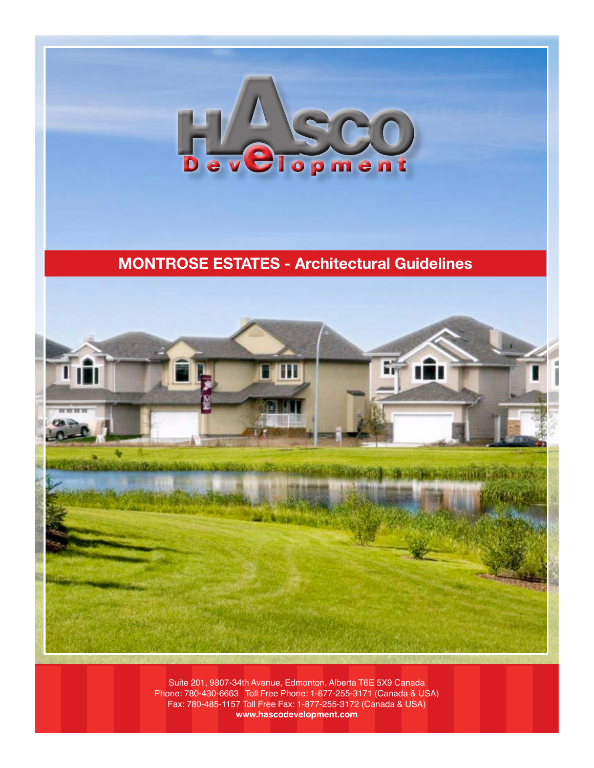

# **MONTROSE ESTATES - Architectural Guidelines**



Suite 201, 9807-34th Avenue, Edmonton, Alberta T6E 5X9 Canada Phone: 780-430-6663 Toll Free Phone: 1-877-255-3171 (Canada & USA) Fax: 780-485-1157 Toll Free Fax: 1-877-255-3172 (Canada & USA) **www.hascodevelopment.com**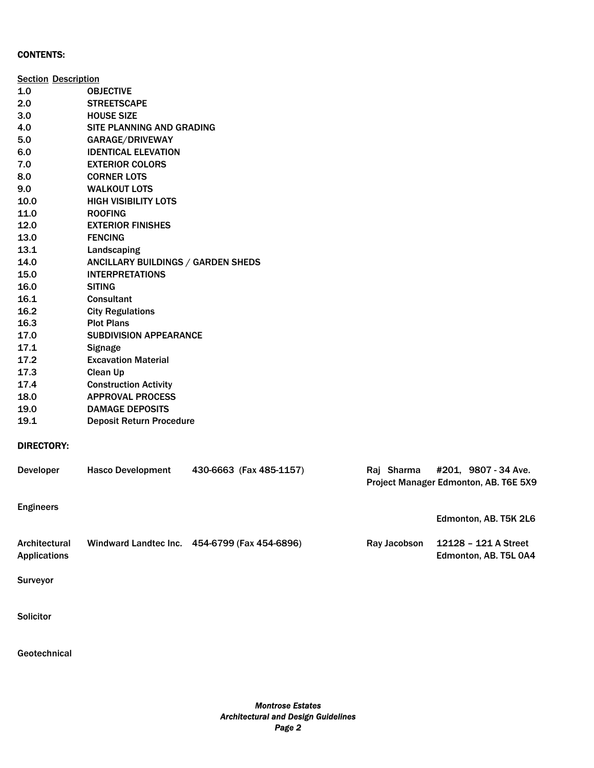#### CONTENTS:

| <b>Section Description</b>           |                                    |                                               |              |                                                               |  |
|--------------------------------------|------------------------------------|-----------------------------------------------|--------------|---------------------------------------------------------------|--|
| 1.0                                  | <b>OBJECTIVE</b>                   |                                               |              |                                                               |  |
| 2.0                                  | <b>STREETSCAPE</b>                 |                                               |              |                                                               |  |
| 3.0                                  | <b>HOUSE SIZE</b>                  |                                               |              |                                                               |  |
| 4.0                                  | SITE PLANNING AND GRADING          |                                               |              |                                                               |  |
| 5.0                                  | GARAGE/DRIVEWAY                    |                                               |              |                                                               |  |
| 6.0                                  | <b>IDENTICAL ELEVATION</b>         |                                               |              |                                                               |  |
| 7.0                                  | <b>EXTERIOR COLORS</b>             |                                               |              |                                                               |  |
| 8.0                                  | <b>CORNER LOTS</b>                 |                                               |              |                                                               |  |
| 9.0                                  | <b>WALKOUT LOTS</b>                |                                               |              |                                                               |  |
| 10.0                                 | <b>HIGH VISIBILITY LOTS</b>        |                                               |              |                                                               |  |
| 11.0                                 | <b>ROOFING</b>                     |                                               |              |                                                               |  |
| 12.0                                 | <b>EXTERIOR FINISHES</b>           |                                               |              |                                                               |  |
| 13.0                                 | <b>FENCING</b>                     |                                               |              |                                                               |  |
| 13.1                                 | Landscaping                        |                                               |              |                                                               |  |
| 14.0                                 | ANCILLARY BUILDINGS / GARDEN SHEDS |                                               |              |                                                               |  |
| 15.0                                 | <b>INTERPRETATIONS</b>             |                                               |              |                                                               |  |
| 16.0                                 | <b>SITING</b>                      |                                               |              |                                                               |  |
| 16.1                                 | Consultant                         |                                               |              |                                                               |  |
| 16.2                                 | <b>City Regulations</b>            |                                               |              |                                                               |  |
| 16.3                                 | <b>Plot Plans</b>                  |                                               |              |                                                               |  |
| 17.0                                 | <b>SUBDIVISION APPEARANCE</b>      |                                               |              |                                                               |  |
| 17.1                                 | <b>Signage</b>                     |                                               |              |                                                               |  |
| 17.2                                 | <b>Excavation Material</b>         |                                               |              |                                                               |  |
| 17.3                                 | Clean Up                           |                                               |              |                                                               |  |
| 17.4                                 | <b>Construction Activity</b>       |                                               |              |                                                               |  |
| 18.0                                 | <b>APPROVAL PROCESS</b>            |                                               |              |                                                               |  |
| 19.0                                 | <b>DAMAGE DEPOSITS</b>             |                                               |              |                                                               |  |
| 19.1                                 | <b>Deposit Return Procedure</b>    |                                               |              |                                                               |  |
| <b>DIRECTORY:</b>                    |                                    |                                               |              |                                                               |  |
| Developer                            | <b>Hasco Development</b>           | 430-6663 (Fax 485-1157)                       | Raj Sharma   | #201, 9807 - 34 Ave.<br>Project Manager Edmonton, AB. T6E 5X9 |  |
| <b>Engineers</b>                     |                                    |                                               |              |                                                               |  |
|                                      |                                    |                                               |              | Edmonton, AB. T5K 2L6                                         |  |
| Architectural<br><b>Applications</b> |                                    | Windward Landtec Inc. 454-6799 (Fax 454-6896) | Ray Jacobson | 12128 - 121 A Street<br>Edmonton, AB. T5L 0A4                 |  |
| Surveyor                             |                                    |                                               |              |                                                               |  |
|                                      |                                    |                                               |              |                                                               |  |

**Solicitor** 

**Geotechnical**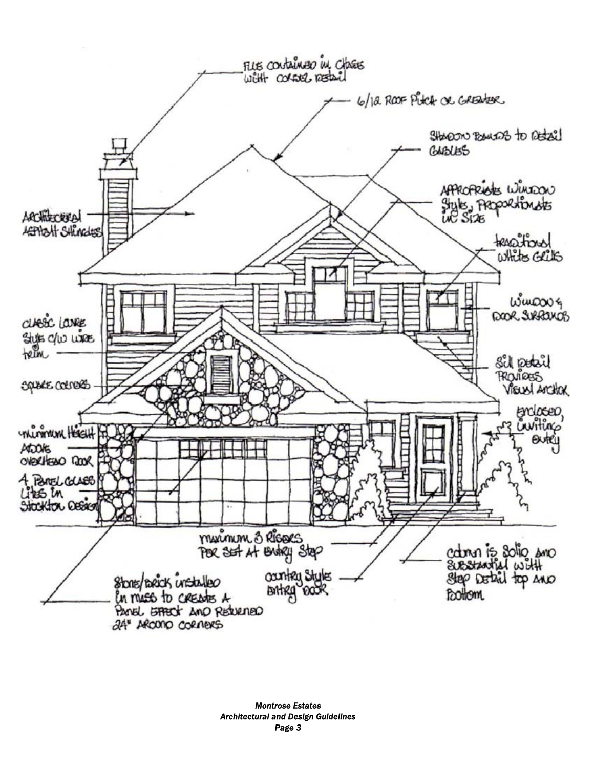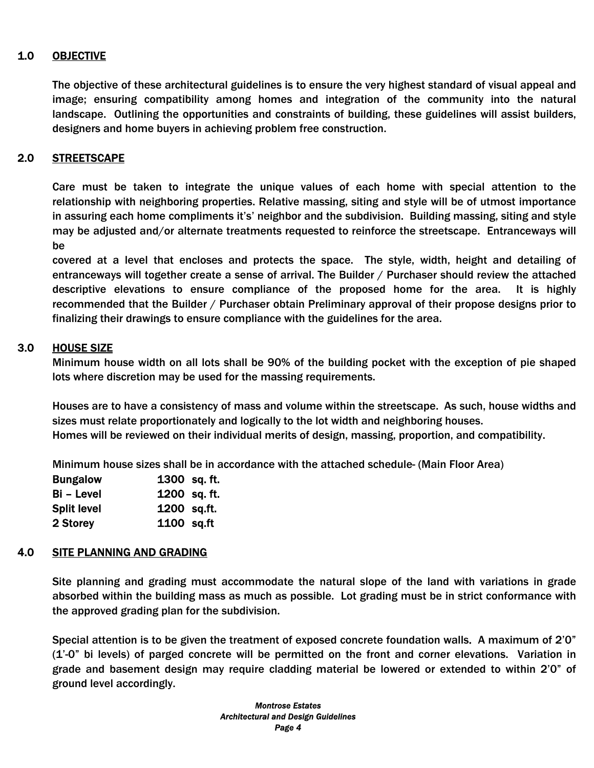# 1.0 OBJECTIVE

The objective of these architectural guidelines is to ensure the very highest standard of visual appeal and image; ensuring compatibility among homes and integration of the community into the natural landscape. Outlining the opportunities and constraints of building, these guidelines will assist builders, designers and home buyers in achieving problem free construction.

# 2.0 STREETSCAPE

Care must be taken to integrate the unique values of each home with special attention to the relationship with neighboring properties. Relative massing, siting and style will be of utmost importance in assuring each home compliments it's' neighbor and the subdivision. Building massing, siting and style may be adjusted and/or alternate treatments requested to reinforce the streetscape. Entranceways will be

covered at a level that encloses and protects the space. The style, width, height and detailing of entranceways will together create a sense of arrival. The Builder / Purchaser should review the attached descriptive elevations to ensure compliance of the proposed home for the area. It is highly recommended that the Builder / Purchaser obtain Preliminary approval of their propose designs prior to finalizing their drawings to ensure compliance with the guidelines for the area.

### 3.0 HOUSE SIZE

Minimum house width on all lots shall be 90% of the building pocket with the exception of pie shaped lots where discretion may be used for the massing requirements.

Houses are to have a consistency of mass and volume within the streetscape. As such, house widths and sizes must relate proportionately and logically to the lot width and neighboring houses. Homes will be reviewed on their individual merits of design, massing, proportion, and compatibility.

Minimum house sizes shall be in accordance with the attached schedule- (Main Floor Area)

| <b>Bungalow</b>    | 1300 sq. ft. |
|--------------------|--------------|
| <b>Bi</b> – Level  | 1200 sq. ft. |
| <b>Split level</b> | 1200 sq.ft.  |
| 2 Storey           | 1100 sq.ft   |

# 4.0 SITE PLANNING AND GRADING

Site planning and grading must accommodate the natural slope of the land with variations in grade absorbed within the building mass as much as possible. Lot grading must be in strict conformance with the approved grading plan for the subdivision.

Special attention is to be given the treatment of exposed concrete foundation walls. A maximum of 2'0" (1'-0" bi levels) of parged concrete will be permitted on the front and corner elevations. Variation in grade and basement design may require cladding material be lowered or extended to within 2'0" of ground level accordingly.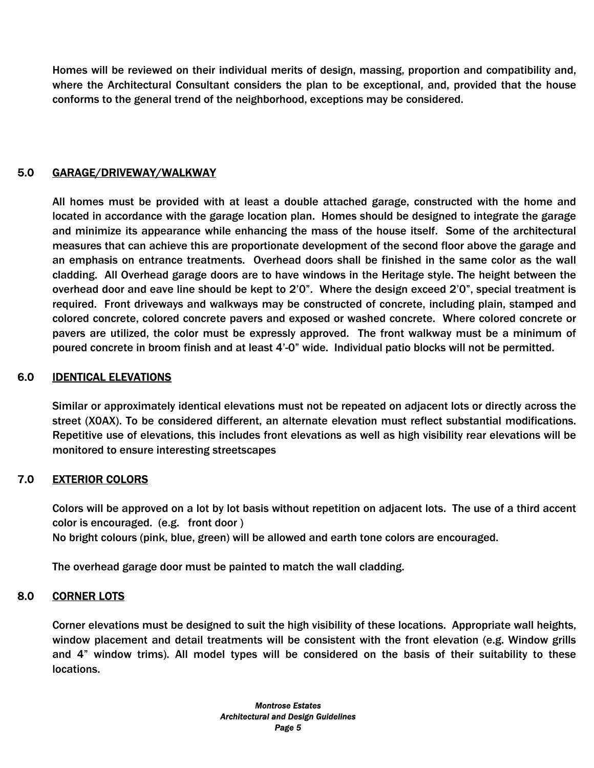Homes will be reviewed on their individual merits of design, massing, proportion and compatibility and, where the Architectural Consultant considers the plan to be exceptional, and, provided that the house conforms to the general trend of the neighborhood, exceptions may be considered.

# 5.0 GARAGE/DRIVEWAY/WALKWAY

All homes must be provided with at least a double attached garage, constructed with the home and located in accordance with the garage location plan. Homes should be designed to integrate the garage and minimize its appearance while enhancing the mass of the house itself. Some of the architectural measures that can achieve this are proportionate development of the second floor above the garage and an emphasis on entrance treatments. Overhead doors shall be finished in the same color as the wall cladding. All Overhead garage doors are to have windows in the Heritage style. The height between the overhead door and eave line should be kept to 2'0". Where the design exceed 2'0", special treatment is required. Front driveways and walkways may be constructed of concrete, including plain, stamped and colored concrete, colored concrete pavers and exposed or washed concrete. Where colored concrete or pavers are utilized, the color must be expressly approved. The front walkway must be a minimum of poured concrete in broom finish and at least 4'-0" wide. Individual patio blocks will not be permitted.

### 6.0 IDENTICAL ELEVATIONS

Similar or approximately identical elevations must not be repeated on adjacent lots or directly across the street (X0AX). To be considered different, an alternate elevation must reflect substantial modifications. Repetitive use of elevations, this includes front elevations as well as high visibility rear elevations will be monitored to ensure interesting streetscapes

# 7.0 EXTERIOR COLORS

Colors will be approved on a lot by lot basis without repetition on adjacent lots. The use of a third accent color is encouraged. (e.g. front door ) No bright colours (pink, blue, green) will be allowed and earth tone colors are encouraged.

The overhead garage door must be painted to match the wall cladding.

#### 8.0 CORNER LOTS

Corner elevations must be designed to suit the high visibility of these locations. Appropriate wall heights, window placement and detail treatments will be consistent with the front elevation (e.g. Window grills and 4" window trims). All model types will be considered on the basis of their suitability to these locations.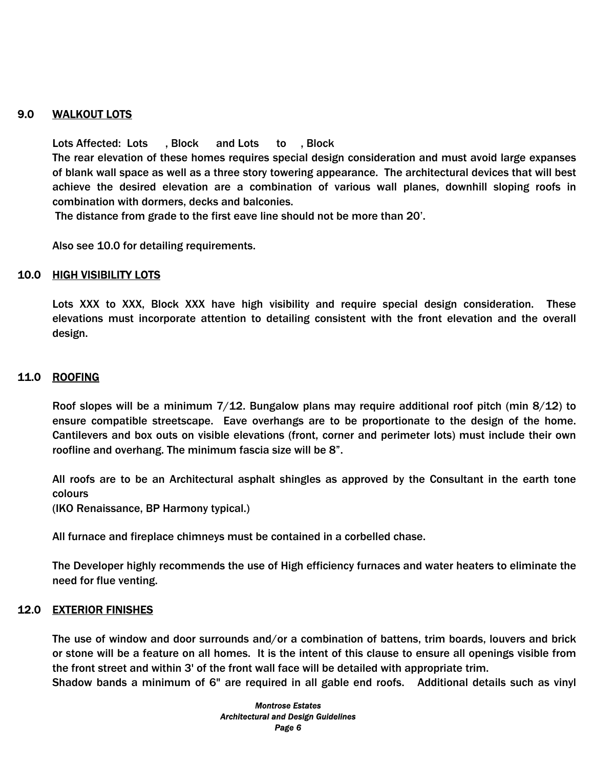# 9.0 WALKOUT LOTS

Lots Affected: Lots , Block and Lots to , Block The rear elevation of these homes requires special design consideration and must avoid large expanses of blank wall space as well as a three story towering appearance. The architectural devices that will best achieve the desired elevation are a combination of various wall planes, downhill sloping roofs in combination with dormers, decks and balconies.

The distance from grade to the first eave line should not be more than 20'.

Also see 10.0 for detailing requirements.

#### 10.0 HIGH VISIBILITY LOTS

Lots XXX to XXX, Block XXX have high visibility and require special design consideration. These elevations must incorporate attention to detailing consistent with the front elevation and the overall design.

#### 11.0 ROOFING

Roof slopes will be a minimum 7/12. Bungalow plans may require additional roof pitch (min 8/12) to ensure compatible streetscape. Eave overhangs are to be proportionate to the design of the home. Cantilevers and box outs on visible elevations (front, corner and perimeter lots) must include their own roofline and overhang. The minimum fascia size will be 8".

All roofs are to be an Architectural asphalt shingles as approved by the Consultant in the earth tone colours

(IKO Renaissance, BP Harmony typical.)

All furnace and fireplace chimneys must be contained in a corbelled chase.

The Developer highly recommends the use of High efficiency furnaces and water heaters to eliminate the need for flue venting.

#### 12.0 EXTERIOR FINISHES

The use of window and door surrounds and/or a combination of battens, trim boards, louvers and brick or stone will be a feature on all homes. It is the intent of this clause to ensure all openings visible from the front street and within 3' of the front wall face will be detailed with appropriate trim.

Shadow bands a minimum of 6" are required in all gable end roofs. Additional details such as vinyl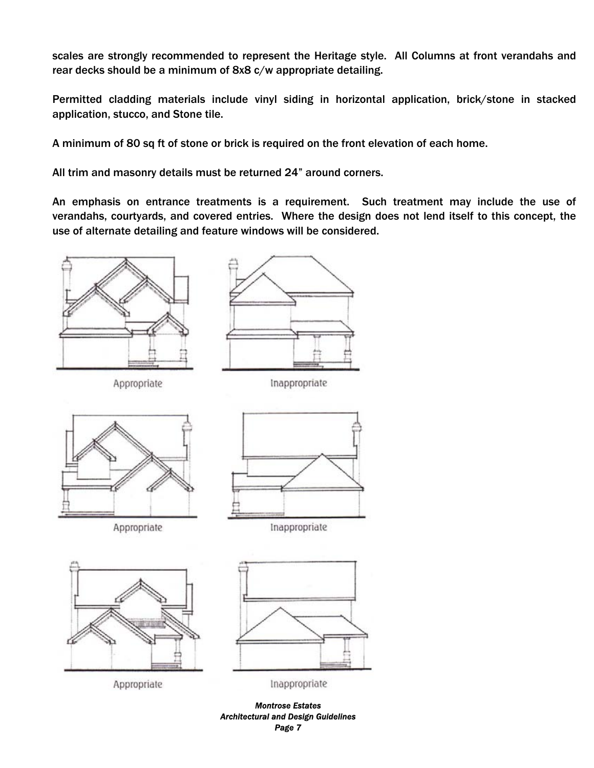scales are strongly recommended to represent the Heritage style. All Columns at front verandahs and rear decks should be a minimum of 8x8 c/w appropriate detailing.

Permitted cladding materials include vinyl siding in horizontal application, brick/stone in stacked application, stucco, and Stone tile.

A minimum of 80 sq ft of stone or brick is required on the front elevation of each home.

All trim and masonry details must be returned 24" around corners.

An emphasis on entrance treatments is a requirement. Such treatment may include the use of verandahs, courtyards, and covered entries. Where the design does not lend itself to this concept, the use of alternate detailing and feature windows will be considered.



Appropriate



Inappropriate











Inappropriate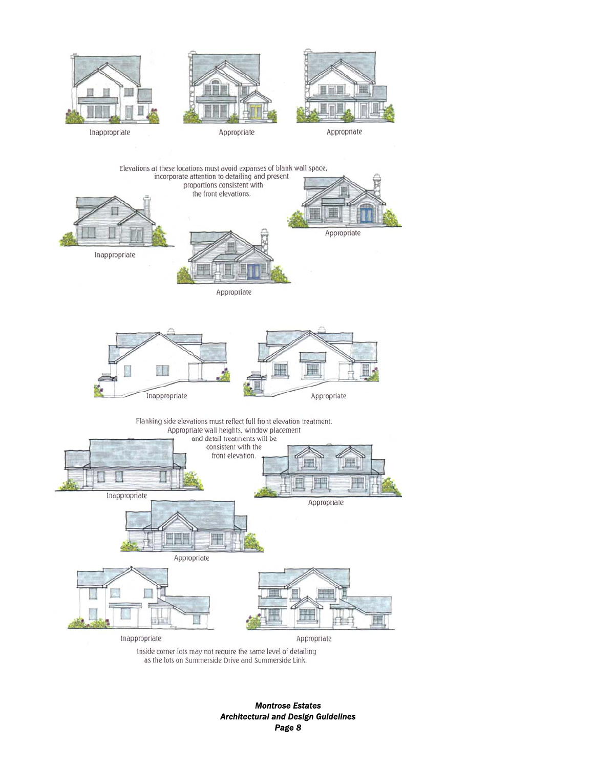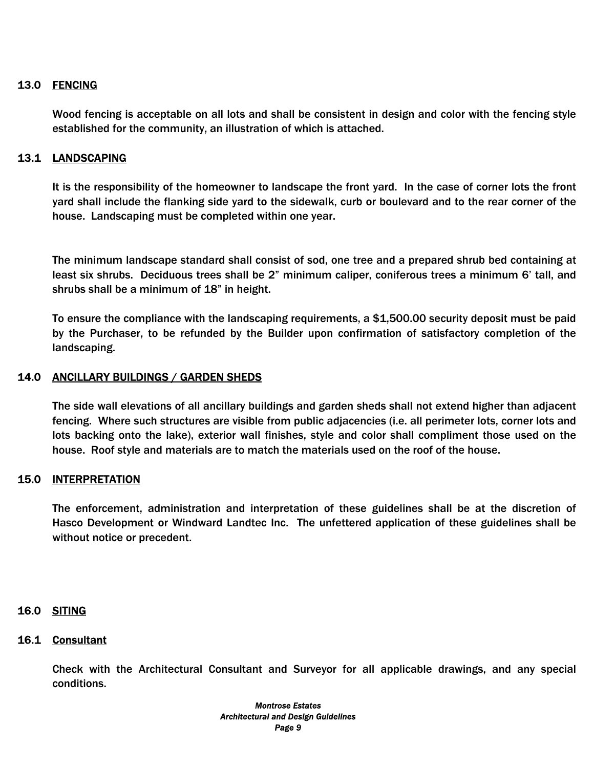# 13.0 FENCING

Wood fencing is acceptable on all lots and shall be consistent in design and color with the fencing style established for the community, an illustration of which is attached.

### 13.1 LANDSCAPING

It is the responsibility of the homeowner to landscape the front yard. In the case of corner lots the front yard shall include the flanking side yard to the sidewalk, curb or boulevard and to the rear corner of the house. Landscaping must be completed within one year.

The minimum landscape standard shall consist of sod, one tree and a prepared shrub bed containing at least six shrubs. Deciduous trees shall be 2" minimum caliper, coniferous trees a minimum 6' tall, and shrubs shall be a minimum of 18" in height.

To ensure the compliance with the landscaping requirements, a \$1,500.00 security deposit must be paid by the Purchaser, to be refunded by the Builder upon confirmation of satisfactory completion of the landscaping.

### 14.0 ANCILLARY BUILDINGS / GARDEN SHEDS

The side wall elevations of all ancillary buildings and garden sheds shall not extend higher than adjacent fencing. Where such structures are visible from public adjacencies (i.e. all perimeter lots, corner lots and lots backing onto the lake), exterior wall finishes, style and color shall compliment those used on the house. Roof style and materials are to match the materials used on the roof of the house.

#### 15.0 INTERPRETATION

The enforcement, administration and interpretation of these guidelines shall be at the discretion of Hasco Development or Windward Landtec Inc. The unfettered application of these guidelines shall be without notice or precedent.

#### 16.0 SITING

#### 16.1 Consultant

Check with the Architectural Consultant and Surveyor for all applicable drawings, and any special conditions.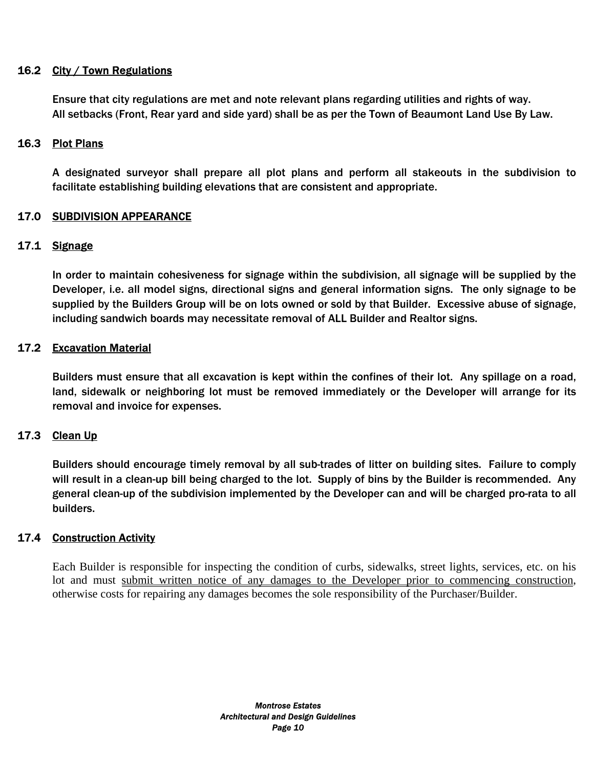# 16.2 City / Town Regulations

Ensure that city regulations are met and note relevant plans regarding utilities and rights of way. All setbacks (Front, Rear yard and side yard) shall be as per the Town of Beaumont Land Use By Law.

# 16.3 Plot Plans

A designated surveyor shall prepare all plot plans and perform all stakeouts in the subdivision to facilitate establishing building elevations that are consistent and appropriate.

### 17.0 SUBDIVISION APPEARANCE

### 17.1 Signage

In order to maintain cohesiveness for signage within the subdivision, all signage will be supplied by the Developer, i.e. all model signs, directional signs and general information signs. The only signage to be supplied by the Builders Group will be on lots owned or sold by that Builder. Excessive abuse of signage, including sandwich boards may necessitate removal of ALL Builder and Realtor signs.

# 17.2 Excavation Material

Builders must ensure that all excavation is kept within the confines of their lot. Any spillage on a road, land, sidewalk or neighboring lot must be removed immediately or the Developer will arrange for its removal and invoice for expenses.

# 17.3 Clean Up

Builders should encourage timely removal by all sub-trades of litter on building sites. Failure to comply will result in a clean-up bill being charged to the lot. Supply of bins by the Builder is recommended. Any general clean-up of the subdivision implemented by the Developer can and will be charged pro-rata to all builders.

# 17.4 Construction Activity

Each Builder is responsible for inspecting the condition of curbs, sidewalks, street lights, services, etc. on his lot and must submit written notice of any damages to the Developer prior to commencing construction, otherwise costs for repairing any damages becomes the sole responsibility of the Purchaser/Builder.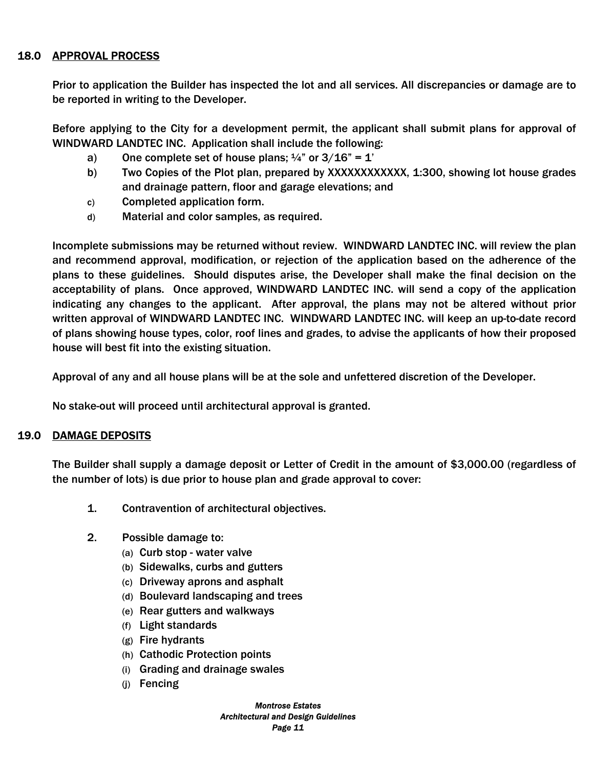# 18.0 APPROVAL PROCESS

Prior to application the Builder has inspected the lot and all services. All discrepancies or damage are to be reported in writing to the Developer.

Before applying to the City for a development permit, the applicant shall submit plans for approval of WINDWARD LANDTEC INC. Application shall include the following:

- a) One complete set of house plans;  $\frac{1}{4}$ " or  $3/16$ " = 1'
- b) Two Copies of the Plot plan, prepared by XXXXXXXXXXXX, 1:300, showing lot house grades and drainage pattern, floor and garage elevations; and
- c) Completed application form.
- d) Material and color samples, as required.

Incomplete submissions may be returned without review. WINDWARD LANDTEC INC. will review the plan and recommend approval, modification, or rejection of the application based on the adherence of the plans to these guidelines. Should disputes arise, the Developer shall make the final decision on the acceptability of plans. Once approved, WINDWARD LANDTEC INC. will send a copy of the application indicating any changes to the applicant. After approval, the plans may not be altered without prior written approval of WINDWARD LANDTEC INC. WINDWARD LANDTEC INC. will keep an up-to-date record of plans showing house types, color, roof lines and grades, to advise the applicants of how their proposed house will best fit into the existing situation.

Approval of any and all house plans will be at the sole and unfettered discretion of the Developer.

No stake-out will proceed until architectural approval is granted.

#### 19.0 DAMAGE DEPOSITS

The Builder shall supply a damage deposit or Letter of Credit in the amount of \$3,000.00 (regardless of the number of lots) is due prior to house plan and grade approval to cover:

- 1. Contravention of architectural objectives.
- 2. Possible damage to:
	- (a) Curb stop water valve
	- (b) Sidewalks, curbs and gutters
	- (c) Driveway aprons and asphalt
	- (d) Boulevard landscaping and trees
	- (e) Rear gutters and walkways
	- (f) Light standards
	- (g) Fire hydrants
	- (h) Cathodic Protection points
	- (i) Grading and drainage swales
	- (j) Fencing